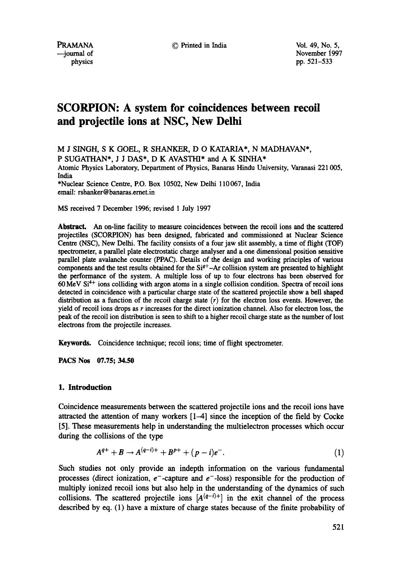PRAMANA © Printed in India Vol. 49, No. 5,

--journal of physics polynomial physics physics polynomial physics polynomial physics polynomial physics polynomial physics polynomial physics polynomial physics polynomial physics polynomial physics polynomial physics pol pp. 521-533

# **SCORPION: A system for coincidences between recoil and projectile ions at NSC, New Delhi**

M J SINGH, S K GOEL, R SHANKER, D O KATARIA\*, N MADHAVAN\*, P SUGATHAN\*, J J DAS\*, D K AVASTHI\* and A K SINHA\* Atomic Physics Laboratory, Department of Physics, Banaras Hindu University, Varanasi 221 005, India

\*Nuclear Science Centre, P.O. Box 10502, New Delhi 110067, India email: rshanker@banaras.ernet.in

MS received 7 December 1996; revised 1 July 1997

**Abstract.** An on-line facility to measure coincidences between the recoil ions and the scattered projectiles (SCORPION) has been designed, fabricated and commissioned at Nuclear Science Centre (NSC), New Delhi. The facility consists of a four jaw slit assembly, a time of flight (TOF) spectrometer, a parallel plate electrostatic charge analyser and a one dimensional position sensitive parallel plate avalanche counter (PPAC). Details of the design and working principles of various components and the test results obtained for the  $Si<sup>q+</sup> - Ar$  collision system are presented to highlight the performance of the system. A multiple loss of up to four electrons has been observed for  $60 \,\text{MeV}$  Si<sup>4+</sup> ions colliding with argon atoms in a single collision condition. Spectra of recoil ions detected in coincidence with a particular charge state of the scattered projectile show a bell shaped distribution as a function of the recoil charge state  $(r)$  for the electron loss events. However, the yield of recoil ions drops as  $r$  increases for the direct ionization channel. Also for electron loss, the peak of the recoil ion distribution is seen to shift to a higher recoil charge state as the number of lost electrons from the projectile increases.

Keywords. Coincidence technique; recoil ions; time of flight spectrometer.

**PACS Nos 07.75; 34.50** 

## **1. Introduction**

Coincidence measurements between the scattered projectile ions and the recoil ions have attracted the attention of many workers [1-4] since the inception of the field by Cocke [5]. These measurements help in understanding the multielectron processes which occur during the collisions of the type

$$
A^{q+} + B \to A^{(q-i)+} + B^{p+} + (p-i)e^{-}.
$$
 (1)

Such studies not only provide an indepth information on the various fundamental processes (direct ionization,  $e^-$ -capture and  $e^-$ -loss) responsible for the production of multiply ionized recoil ions but also help in the understanding of the dynamics of such collisions. The scattered projectile ions  $[A^{(q-i)+}]$  in the exit channel of the process described by eq. (1) have a mixture of charge states because of the finite probability of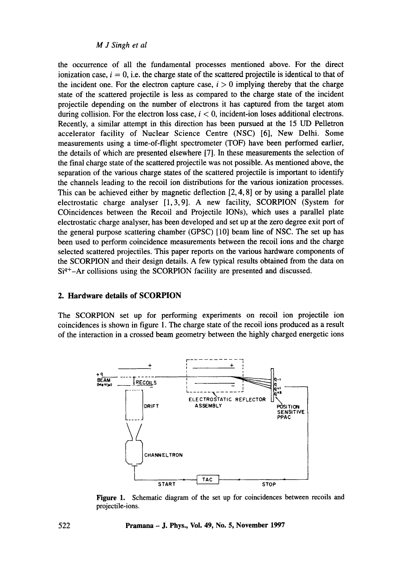the occurrence of all the fundamental processes mentioned above. For the direct ionization case,  $i = 0$ , i.e. the charge state of the scattered projectile is identical to that of the incident one. For the electron capture case,  $i > 0$  implying thereby that the charge state of the scattered projectile is less as compared to the charge state of the incident projectile depending on the number of electrons it has captured from the target atom during collision. For the electron loss case,  $i < 0$ , incident-ion loses additional electrons. Recently, a similar attempt in this direction has been pursued at the 15 UD Pelletron accelerator facility of Nuclear Science Centre (NSC) [6], New Delhi. Some measurements using a time-of-flight spectrometer (TOF) have been performed earlier, the details of which are presented elsewhere [7]. In these measurements the selection of the final charge state of the scattered projectile was not possible. As mentioned above, the separation of the various charge states of the scattered projectile is important to identify the channels leading to the recoil ion distributions for the various ionization processes. This can be achieved either by magnetic deflection [2, 4, 8] or by using a parallel plate electrostatic charge analyser [1,3,9]. A new facility, SCORPION (System for COincidences between the Recoil and Projectile IONs), which uses a parallel plate electrostatic charge analyser, has been developed and set up at the zero degree exit port of the general purpose scattering chamber (GPSC) [10] beam line of NSC. The set up has been used to perform coincidence measurements between the recoil ions and the charge selected scattered projectiles. This paper reports on the various hardware components of the SCORPION and their design details. A few typical results obtained from the data on  $Si<sup>q+</sup>$ -Ar collisions using the SCORPION facility are presented and discussed.

#### **2. Hardware details of SCORPION**

The SCORPION set up for performing experiments on recoil ion projectile ion coincidences is shown in figure 1. The charge state of the recoil ions produced as a result of the interaction in a crossed beam geometry between the highly charged energetic ions



**Figure** 1. Schematic diagram of the set up for coincidences between recoils and projectile-ions.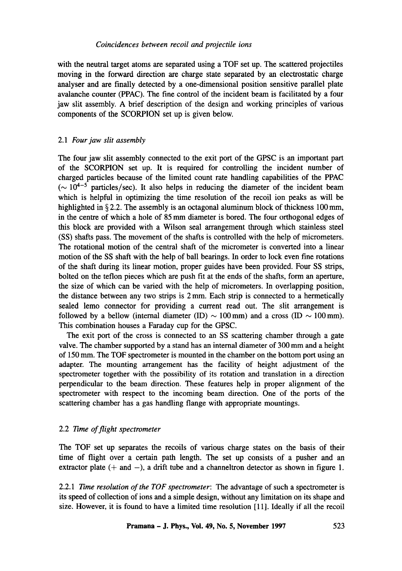#### *Coincidences between recoil and projectile ions*

with the neutral target atoms are separated using a TOF set up. The scattered projectiles moving in the forward direction are charge state separated by an electrostatic charge analyser and are finally detected by a one-dimensional position sensitive parallel plate avalanche counter (PPAC). The fine control of the incident beam is facilitated by a four jaw slit assembly. A brief description of the design and working principles of various components of the SCORPION set up is given below.

## *2.1 Four jaw slit assembly*

The four jaw slit assembly connected to the exit port of the GPSC is an important part of the SCORPION set up. It is required for controlling the incident number of charged particles because of the limited count rate handling capabilities of the PPAC ( $\sim 10^{4-5}$  particles/sec). It also helps in reducing the diameter of the incident beam which is helpful in optimizing the time resolution of the recoil ion peaks as will be highlighted in § 2.2. The assembly is an octagonal aluminum block of thickness 100 mm, in the centre of which a hole of 85 mm diameter is bored. The four orthogonal edges of this block are provided with a Wilson seal arrangement through which stainless steel (SS) shafts pass. The movement of the shafts is controlled with the help of micrometers. The rotational motion of the central shaft of the micrometer is converted into a linear motion of the SS shaft with the help of ball beatings. In order to lock even fine rotations of the shaft during its linear motion, proper guides have been provided. Four SS strips, bolted on the teflon pieces which are push fit at the ends of the shafts, form an aperture, the size of which can be varied with the help of micrometers. In overlapping position, the distance between any two strips is 2 mm. Each strip is connected to a hermetically sealed lemo connector for providing a current read out. The slit arrangement is followed by a bellow (internal diameter (ID)  $\sim$  100 mm) and a cross (ID  $\sim$  100 mm). This combination houses a Faraday cup for the GPSC.

The exit port of the cross is connected to an SS scattering chamber through a gate valve. The chamber supported by a stand has an internal diameter of 300 mm and a height of 150 mm. The TOF spectrometer is mounted in the chamber on the bottom port using an adapter. The mounting arrangement has the facility of height adjustment of the spectrometer together with the possibility of its rotation and translation in a direction perpendicular to the beam direction. These features help in proper alignment of the spectrometer with respect to the incoming beam direction. One of the ports of the scattering chamber has a gas handling flange with appropriate mountings.

#### 2.2 *Time of flight spectrometer*

The TOF set up separates the recoils of various charge states on the basis of their time of flight over a certain path length. The set up consists of a pusher and an extractor plate  $(+)$  and  $-)$ , a drift tube and a channeltron detector as shown in figure 1.

2.2.1 *Time resolution of the TOF spectrometer: The* advantage of such a spectrometer is its speed of collection of ions and a simple design, without any limitation on its shape and size. However, it is found to have a limited time resolution [11]. Ideally if all the recoil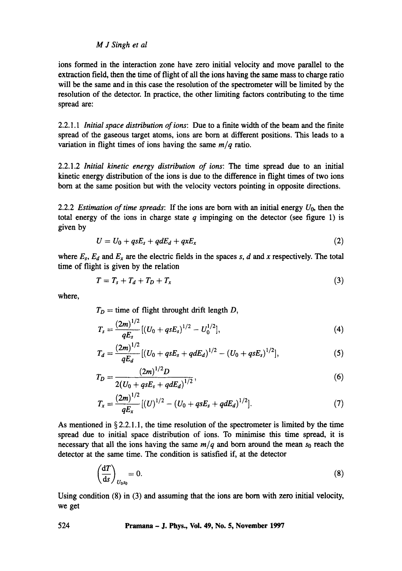ions formed in the interaction zone have zero initial velocity and move parallel to the extraction field, then the time of flight of all the ions having the same mass to charge ratio will be the same and in this case the resolution of the spectrometer will be limited by the resolution of the detector. In practice, the other limiting factors contributing to the time spread are:

2.2.1.1 *Initial space distribution of ions:* Due to a finite width of the beam and the finite spread of the gaseous target atoms, ions are born at different positions. This leads to a variation in flight times of ions having the same *m/q* ratio.

2.2.1.2 *Initial kinetic energy distribution of ions: The* time spread due to an initial kinetic energy distribution of the ions is due to the difference in flight times of two ions born at the same position but with the velocity vectors pointing in opposite directions.

2.2.2 *Estimation of time spreads*: If the ions are born with an initial energy  $U_0$ , then the total energy of the ions in charge state  $q$  impinging on the detector (see figure 1) is given by

$$
U = U_0 + qsE_s + qdE_d + qxE_x \qquad (2)
$$

where  $E_s$ ,  $E_d$  and  $E_x$  are the electric fields in the spaces s, d and x respectively. The total time of flight is given by the relation

$$
T = T_s + T_d + T_D + T_x \tag{3}
$$

where,

 $T_D =$  time of flight throught drift length D,

$$
T_s = \frac{(2m)^{1/2}}{qE_s} [(U_0 + qsE_s)^{1/2} - U_0^{1/2}], \qquad (4)
$$

$$
T_d = \frac{(2m)^{1/2}}{qE_d} [(U_0 + qsE_s + qdE_d)^{1/2} - (U_0 + qsE_s)^{1/2}], \qquad (5)
$$

$$
T_D = \frac{(2m)^{1/2}D}{2(U_0 + qsE_s + qdE_d)^{1/2}},
$$
\n(6)

$$
T_x = \frac{(2m)^{1/2}}{qE_x} [(U)^{1/2} - (U_0 + qsE_s + qdE_d)^{1/2}].
$$
 (7)

As mentioned in  $\S 2.2.1.1$ , the time resolution of the spectrometer is limited by the time spread due to initial space distribution of ions. To minimise this time spread, it is necessary that all the ions having the same  $m/q$  and born around the mean  $s_0$  reach the detector at the same time. The condition is satisfied if, at the detector

$$
\left(\frac{\mathrm{d}T}{\mathrm{d}s}\right)_{U_0s_0}=0.\tag{8}
$$

Using condition (8) in (3) and assuming that the ions are born with zero initial velocity, we get

#### **524 Pramana - J. Phys., Vol. 49, No. 5, November 1997**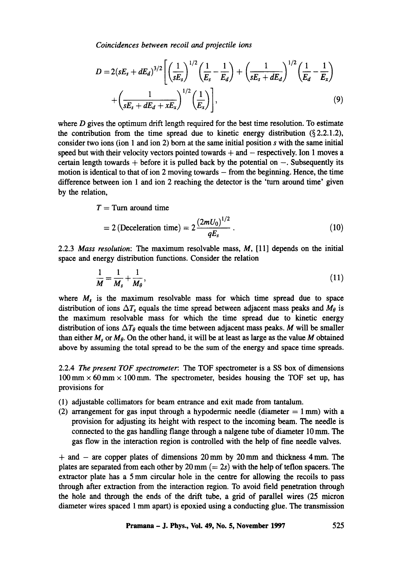*Coincidences between recoil and projectile ions* 

$$
D = 2(sE_s + dE_d)^{3/2} \left[ \left( \frac{1}{sE_s} \right)^{1/2} \left( \frac{1}{E_s} - \frac{1}{E_d} \right) + \left( \frac{1}{sE_s + dE_d} \right)^{1/2} \left( \frac{1}{E_d} - \frac{1}{E_x} \right) + \left( \frac{1}{sE_s + dE_d + xE_x} \right)^{1/2} \left( \frac{1}{E_x} \right) \right],
$$
(9)

where  $D$  gives the optimum drift length required for the best time resolution. To estimate the contribution from the time spread due to kinetic energy distribution  $(\S 2.2.1.2)$ , consider two ions (ion 1 and ion 2) born at the same initial position s with the same initial speed but with their velocity vectors pointed towards  $+$  and  $-$  respectively. Ion 1 moves a certain length towards  $+$  before it is pulled back by the potential on  $-$ . Subsequently its motion is identical to that of ion 2 moving towards  $-$  from the beginning. Hence, the time difference between ion 1 and ion 2 reaching the detector is the 'turn around time' given by the relation,

 $T =$ Turn around time

$$
= 2 \left( \text{Deceleration time} \right) = 2 \frac{\left( 2mU_0 \right)^{1/2}}{qE_s} \,. \tag{10}
$$

2.2.3 *Mass resolution: The* maximum resolvable mass, M, [11] depends on the initial space and energy distribution functions. Consider the relation

$$
\frac{1}{M} = \frac{1}{M_s} + \frac{1}{M_\theta},\tag{11}
$$

where  $M_s$  is the maximum resolvable mass for which time spread due to space distribution of ions  $\Delta T_s$  equals the time spread between adjacent mass peaks and  $M_\theta$  is the maximum resolvable mass for which the time spread due to kinetic energy distribution of ions  $\Delta T_{\theta}$  equals the time between adjacent mass peaks. M will be smaller than either  $M_s$  or  $M_\theta$ . On the other hand, it will be at least as large as the value M obtained above by assuming the total spread to be the sum of the energy and space time spreads.

2.2.4 The *present TOF spectrometer: The* TOF spectrometer is a SS box of dimensions  $100 \text{ mm} \times 60 \text{ mm} \times 100 \text{ mm}$ . The spectrometer, besides housing the TOF set up, has provisions for

- (1) adjustable collimators for beam entrance and exit made from tantalum.
- (2) arrangement for gas input through a hypodermic needle (diameter  $= 1$  mm) with a provision for adjusting its height with respect to the incoming beam. The needle is connected to the gas handling flange through a nalgene tube of diameter 10mm. The gas flow in the interaction region is controlled with the help of fine needle valves.

 $+$  and  $-$  are copper plates of dimensions 20 mm by 20 mm and thickness 4 mm. The plates are separated from each other by  $20 \text{ mm } (= 2s)$  with the help of teflon spacers. The extractor plate has a 5 mm circular hole in the centre for allowing the recoils to pass through after extraction from the interaction region. To avoid field penetration through the hole and through the ends of the drift tube, a grid of parallel wires (25 micron diameter wires spaced 1 mm apart) is epoxied using a conducting glue. The transmission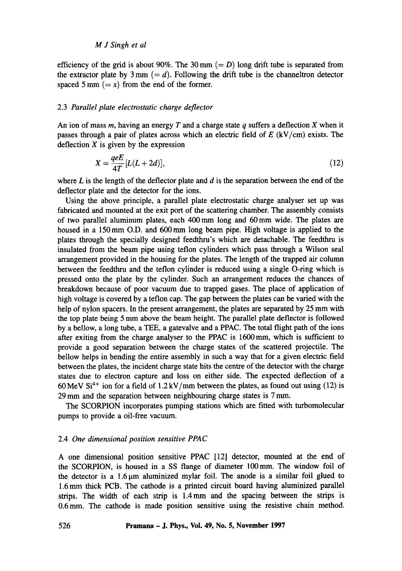efficiency of the grid is about 90%. The 30 mm  $(= D)$  long drift tube is separated from the extractor plate by  $3 \text{ mm } (= d)$ . Following the drift tube is the channeltron detector spaced 5 mm  $(= x)$  from the end of the former.

## 2.3 *Parallel plate electrostatic charge deflector*

An ion of mass  $m$ , having an energy  $T$  and a charge state  $q$  suffers a deflection  $X$  when it passes through a pair of plates across which an electric field of  $E$  (kV/cm) exists. The deflection  $X$  is given by the expression

$$
X = \frac{qeE}{4T} [L(L+2d)],\tag{12}
$$

where  $L$  is the length of the deflector plate and  $d$  is the separation between the end of the deflector plate and the detector for the ions.

Using the above principle, a parallel plate electrostatic charge analyser set up was fabricated and mounted at the exit port of the scattering chamber. The assembly consists of two parallel aluminum plates, each 400 mm long and 60 mm wide. The plates are housed in a 150mm O.D. and 600mm long beam pipe. High voltage is applied to the plates through the specially designed feedthru's which are detachable. The feedthru is insulated from the beam pipe using teflon cylinders which pass through a Wilson seal arrangement provided in the housing for the plates. The length of the trapped air column between the feedthru and the teflon cylinder is reduced using a single O-ring which is pressed onto the plate by the cylinder. Such an arrangement reduces the chances of breakdown because of poor vacuum due to trapped gases. The place of application of high voltage is covered by a teflon cap. The gap between the plates can be varied with the help of nylon spacers. In the present arrangement, the plates are separated by 25 mm with the top plate being 5 mm above the beam height. The parallel plate deflector is followed by a bellow, a long tube, a TEE, a gatevalve and a PPAC. The total flight path of the ions after exiting from the charge analyser to the PPAC is 1600mm, which is sufficient to provide a good separation between the charge states of the scattered projectile. The bellow helps in bending the entire assembly in such a way that for a given electric field between the plates, the incident charge state hits the centre of the detector with the charge states due to electron capture and loss on either side. The expected deflection of a 60 MeV  $Si^{4+}$  ion for a field of 1.2 kV/mm between the plates, as found out using (12) is 29 mm and the separation between neighbouring charge states is 7 mm.

The SCORPION incorporates pumping stations which are fitted with turbomolecular pumps to provide a oil-free vacuum.

## 2.4 *One dimensional position sensitive PPAC*

A one dimensional position sensitive PPAC [12] detector, mounted at the end of the SCORPION, is housed in a SS flange of diameter 100 mm. The window foil of the detector is a  $1.6 \mu m$  aluminized mylar foil. The anode is a similar foil glued to 1.6 mm thick PCB. The cathode is a printed circuit board having aluminized parallel strips. The width of each strip is 1.4mm and the spacing between the strips is 0.6mm. The cathode is made position sensitive using the resistive chain method.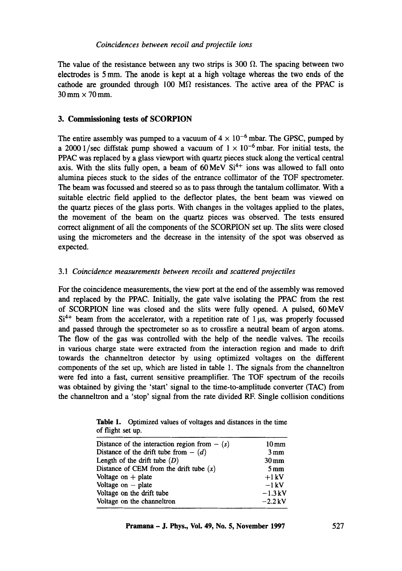The value of the resistance between any two strips is 300  $\Omega$ . The spacing between two electrodes is 5 mm. The anode is kept at a high voltage whereas the two ends of the cathode are grounded through 100 M $\Omega$  resistances. The active area of the PPAC is  $30 \text{ mm} \times 70 \text{ mm}$ .

## **3. Commissioning tests of SCORPION**

The entire assembly was pumped to a vacuum of  $4 \times 10^{-6}$  mbar. The GPSC, pumped by a 2000 1/sec diffstak pump showed a vacuum of  $1 \times 10^{-6}$  mbar. For initial tests, the PPAC was replaced by a glass viewport with quartz pieces stuck along the vertical central axis. With the slits fully open, a beam of  $60 \,\text{MeV} \, \text{Si}^{4+}$  ions was allowed to fall onto alumina pieces stuck to the sides of the entrance collimator of the TOF spectrometer. The beam was focussed and steered so as to pass through the tantalum collimator. With a suitable electric field applied to the deflector plates, the bent beam was viewed on the quartz pieces of the glass ports. With changes in the voltages applied to the plates, the movement of the beam on the quartz pieces was observed. The tests ensured correct alignment of all the components of the SCORPION set up. The slits were closed using the micrometers and the decrease in the intensity of the spot was observed as expected.

## *3.1 Coincidence measurements between recoils and scattered projectiles*

For the coincidence measurements, the view port at the end of the assembly was removed and replaced by the PPAC. Initially, the gate valve isolating the PPAC from the rest of SCORPION line was closed and the slits were fully opened. A pulsed, 60MeV  $Si<sup>4+</sup>$  beam from the accelerator, with a repetition rate of 1  $\mu$ s, was properly focussed and passed through the spectrometer so as to crossfire a neutral beam of argon atoms. The flow of the gas was controlled with the help of the needle valves. The recoils in various charge state were extracted from the interaction region and made to drift towards the channeltron detector by using optimized voltages on the different components of the set up, which are listed in table 1. The signals from the channeltron were fed into a fast, current sensitive preamplifier. The TOF spectrum of the recoils was obtained by giving the 'start' signal to the time-to-amplitude converter (TAC) from the channeltron and a 'stop' signal from the rate divided RF. Single collision conditions

| of flight set up. |  |  |  | <b>Table 1.</b> Optimized values of voltages and distances in the time |
|-------------------|--|--|--|------------------------------------------------------------------------|
|                   |  |  |  |                                                                        |

| Distance of the interaction region from $-$ (s)  | $10 \,\mathrm{mm}$ |
|--------------------------------------------------|--------------------|
| Distance of the drift tube from $-$ ( <i>d</i> ) | $3 \,\mathrm{mm}$  |
| Length of the drift tube $(D)$                   | $30 \,\mathrm{mm}$ |
| Distance of CEM from the drift tube $(x)$        | $5 \,\mathrm{mm}$  |
| Voltage on $+$ plate                             | $+1$ kV            |
| Voltage on $-$ plate                             | $-1$ kV            |
| Voltage on the drift tube                        | $-1.3$ kV          |
| Voltage on the channeltron                       | $-2.2$ kV          |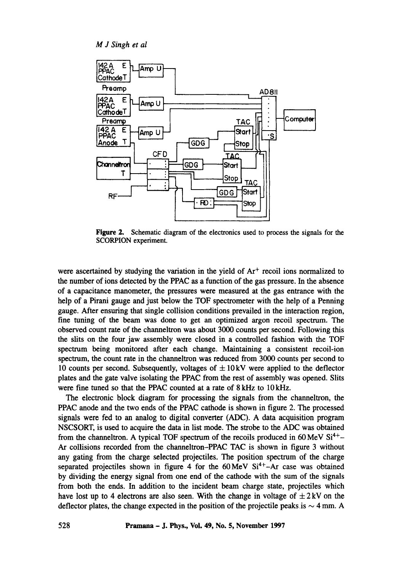

Figure 2. Schematic diagram of the electronics used to process the signals for the SCORPION experiment.

were ascertained by studying the variation in the yield of  $Ar<sup>+</sup>$  recoil ions normalized to the number of ions detected by the PPAC as a function of the gas pressure. In the absence of a capacitance manometer, the pressures were measured at the gas entrance with the help of a Pirani gauge and just below the TOF spectrometer with the help of a Penning gauge. After ensuring that single collision conditions prevailed in the interaction region, fine tuning of the beam was done to get an optimized argon recoil spectrum. The observed count rate of the channeltron was about 3000 counts per second. Following this the slits on the four jaw assembly were closed in a controlled fashion with the TOF spectrum being monitored after each change. Maintaining a consistent recoil-ion spectrum, the count rate in the charmeltron was reduced from 3000 counts per second to 10 counts per second. Subsequently, voltages of  $\pm 10 \text{ kV}$  were applied to the deflector plates and the gate valve isolating the PPAC from the rest of assembly was opened. Slits were fine tuned so that the PPAC counted at a rate of 8kHz to 10kHz.

The electronic block diagram for processing the signals from the channeltron, the PPAC anode and the two ends of the PPAC cathode is shown in figure 2. The processed signals were fed to an analog to digital converter (ADC). A data acquisition program NSCSORT, is used to acquire the data in list mode. The strobe to the ADC was obtained from the channeltron. A typical TOF spectrum of the recoils produced in 60 MeV  $Si<sup>4+</sup>$ Ar collisions recorded from the channeltron-PPAC TAC is shown in figure 3 without any gating from the charge selected projectiles. The position spectrum of the charge separated projectiles shown in figure 4 for the  $60 \text{ MeV}$   $\text{Si}^{4+}-\text{Ar}$  case was obtained by dividing the energy signal from one end of the cathode with the sum of the signals from both the ends. In addition to the incident beam charge state, projectiles which have lost up to 4 electrons are also seen. With the change in voltage of  $\pm 2$  kV on the deflector plates, the change expected in the position of the projectile peaks is  $\sim$  4 mm. A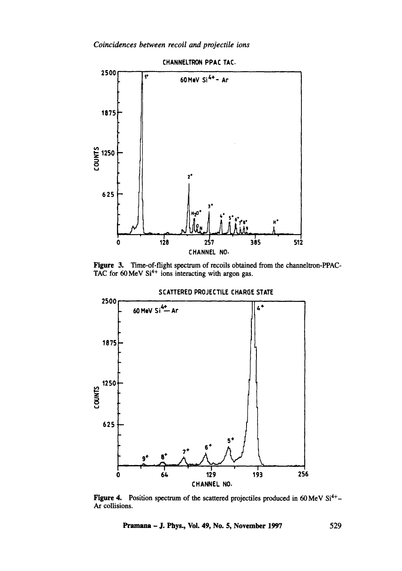*Coincidences between recoil and projectile ions* 



Figure 3. Time-of-flight spectrum of recoils obtained from the channeltron-PPAC-TAC for  $60 \,\text{MeV}$  Si<sup>4+</sup> ions interacting with argon gas.



Figure 4. Position spectrum of the scattered projectiles produced in 60 MeV  $Si^{4+}$ -Ar collisions.

Pramana - J. Phys., Vol. 49, No. 5, November 1997 529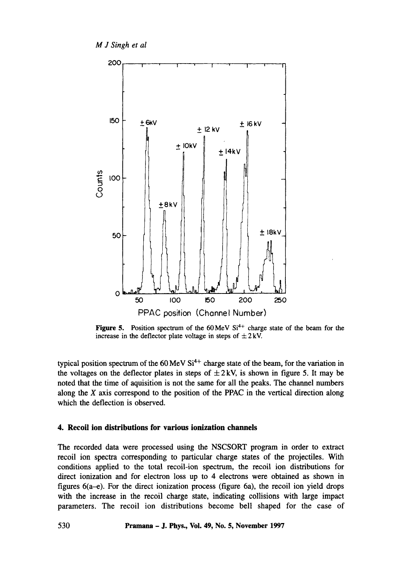

**Figure 5.** Position spectrum of the  $60 \text{ MeV}$  Si<sup>4+</sup> charge state of the beam for the increase in the deflector plate voltage in steps of  $\pm 2$  kV.

typical position spectrum of the 60 MeV  $Si<sup>4+</sup>$  charge state of the beam, for the variation in the voltages on the deflector plates in steps of  $\pm 2$  kV, is shown in figure 5. It may be noted that the time of aquisition is not the same for all the peaks. The channel numbers along the  $X$  axis correspond to the position of the PPAC in the vertical direction along which the deflection is observed.

## **4. Recoil ion distributions for various ionization channels**

The recorded data were processed using the NSCSORT program in order to extract recoil ion spectra corresponding to particular charge states of the projectiles. With conditions applied to the total recoil-ion spectrum, the recoil ion distributions for direct ionization and for electron loss up to 4 electrons were obtained as shown in figures 6(a-e). For the direct ionization process (figure 6a), the recoil ion yield drops with the increase in the recoil charge state, indicating collisions with large impact parameters. The recoil ion distributions become bell shaped for the case of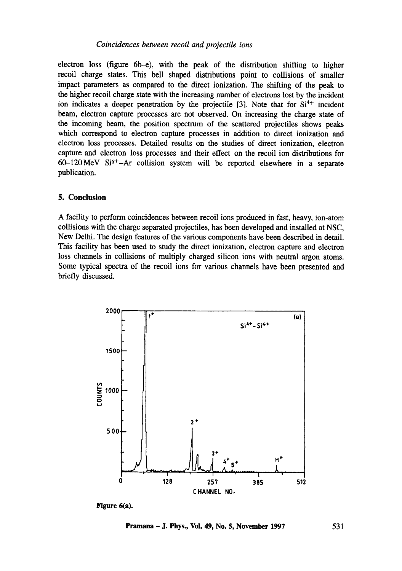electron loss (figure 6b-e), with the peak of the distribution shifting to higher recoil charge states. This bell shaped distributions point to collisions of smaller impact parameters as compared to the direct ionization. The shifting of the peak to the higher recoil charge state with the increasing number of electrons lost by the incident ion indicates a deeper penetration by the projectile  $[3]$ . Note that for  $Si<sup>4+</sup>$  incident beam, electron capture processes are not observed. On increasing the charge state of the incoming beam, the position spectrum of the scattered projectiles shows peaks which correspond to electron capture processes in addition to direct ionization and electron loss processes. Detailed results on the studies of direct ionization, electron capture and electron loss processes and their effect on the recoil ion distributions for 60-120 MeV  $Si^{q+}$ -Ar collision system will be reported elsewhere in a separate publication.

#### **5. Conclusion**

A facility to perform coincidences between recoil ions produced in fast, heavy, ion-atom collisions with the charge separated projectiles, has been developed and installed at NSC, New Delhi. The design features of the various components have been described in detail. This facility has been used to study the direct ionization, electron capture and electron loss channels in collisions of multiply charged silicon ions with neutral argon atoms. Some typical spectra of the recoil ions for various channels have been presented and briefly discussed.



Figure 6(a).

**Pramana - J. Phys., Vol. 49, No. 5, November 1997 531**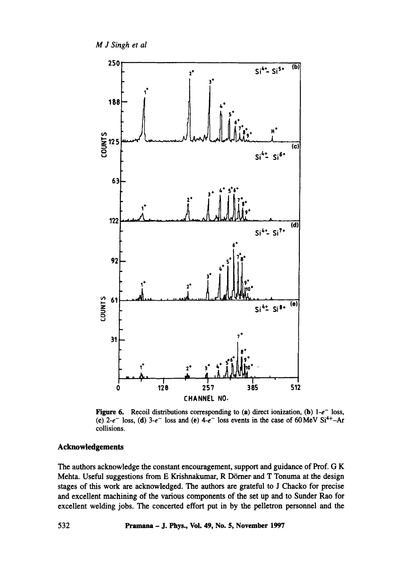

Figure 6. Recoil distributions corresponding to (a) direct ionization, (b)  $1-e^-$  loss, (c)  $2-e^{-}$  loss, (d)  $3-e^{-}$  loss and (e)  $4-e^{-}$  loss events in the case of 60 MeV Si<sup>4+</sup>-Ar collisions.

## **Acknowledgements**

The authors acknowledge the constant encouragement, support and guidance of Prof. G K Mehta. Useful suggestions from E Krishnakumar, R Dörner and T Tonuma at the design stages of this work are acknowledged. The authors are grateful to J Chacko for precise and excellent machining of the various components of the set up and to Sunder Rao for excellent welding jobs. The concerted effort put in by the pelletron personnel and the